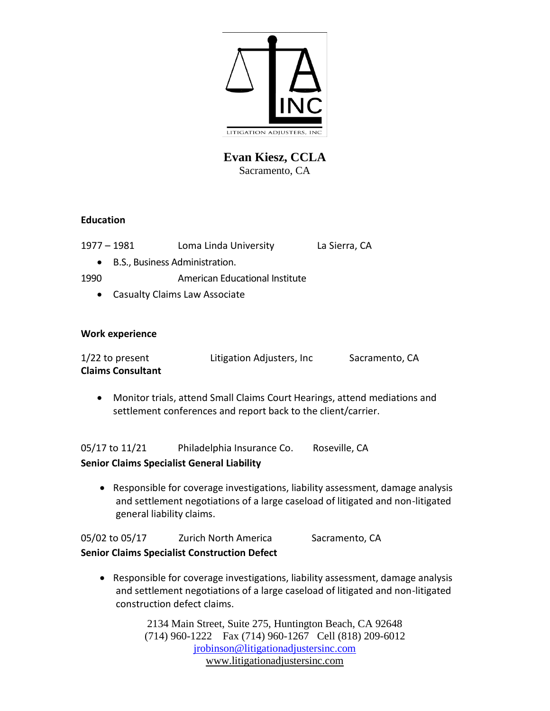

**Evan Kiesz, CCLA** Sacramento, CA

# **Education**

| 1977 - 1981 | Loma Linda University | La Sierra, CA |
|-------------|-----------------------|---------------|
|             |                       |               |

• B.S., Business Administration.

1990 American Educational Institute

• Casualty Claims Law Associate

# **Work experience**

| $1/22$ to present        | Litigation Adjusters, Inc | Sacramento, CA |
|--------------------------|---------------------------|----------------|
| <b>Claims Consultant</b> |                           |                |

• Monitor trials, attend Small Claims Court Hearings, attend mediations and settlement conferences and report back to the client/carrier.

05/17 to 11/21 Philadelphia Insurance Co. Roseville, CA

# **Senior Claims Specialist General Liability**

• Responsible for coverage investigations, liability assessment, damage analysis and settlement negotiations of a large caseload of litigated and non-litigated general liability claims.

|                | <b>Senior Claims Specialist Construction Defect</b> |                |
|----------------|-----------------------------------------------------|----------------|
| 05/02 to 05/17 | <b>Zurich North America</b>                         | Sacramento, CA |

• Responsible for coverage investigations, liability assessment, damage analysis and settlement negotiations of a large caseload of litigated and non-litigated construction defect claims.

> 2134 Main Street, Suite 275, Huntington Beach, CA 92648 (714) 960-1222 Fax (714) 960-1267 Cell (818) 209-6012 [jrobinson@litigationadjustersinc.com](mailto:jrobinson@litigationadjustersinc.com) www.litigationadjustersinc.com